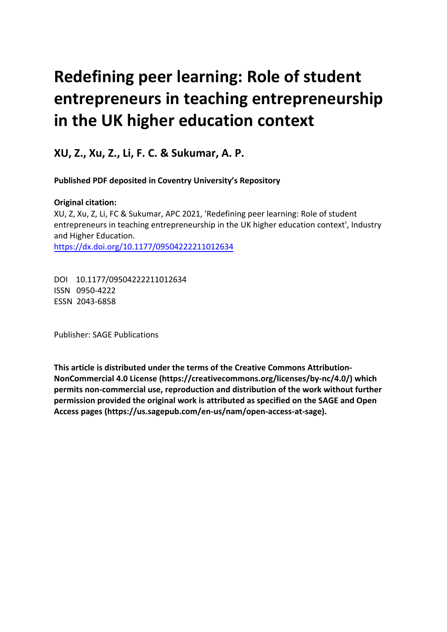# **Redefining peer learning: Role of student entrepreneurs in teaching entrepreneurship in the UK higher education context**

**XU, Z., Xu, Z., Li, F. C. & Sukumar, A. P.** 

**Published PDF deposited in Coventry University's Repository** 

# **Original citation:**

XU, Z, Xu, Z, Li, FC & Sukumar, APC 2021, 'Redefining peer learning: Role of student entrepreneurs in teaching entrepreneurship in the UK higher education context', Industry and Higher Education. https://dx.doi.org/10.1177/09504222211012634

 DOI 10.1177/09504222211012634 ISSN 0950-4222 ESSN 2043-6858

Publisher: SAGE Publications

**This article is distributed under the terms of the Creative Commons Attribution-NonCommercial 4.0 License (https://creativecommons.org/licenses/by-nc/4.0/) which permits non-commercial use, reproduction and distribution of the work without further permission provided the original work is attributed as specified on the SAGE and Open Access pages (https://us.sagepub.com/en-us/nam/open-access-at-sage).**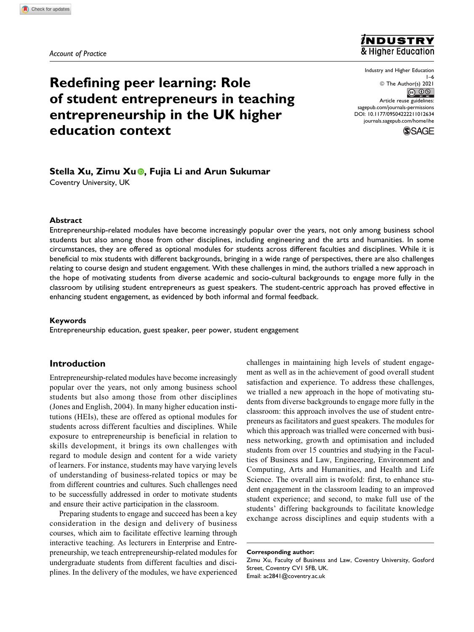*Account of Practice*



**Redefining peer learning: Role of student entrepreneurs in teaching entrepreneurship in the UK higher** source the state politic in the state preservation in the state preservation of the state of the state of the state preservation of the state produce the state produce the state produce **education context**

Industry and Higher Education

[sagepub.com/journals-permissions](https://sagepub.com/journals-permissions)<br>DOI: 10.1177/09504222211012634



# **Stella Xu, Zimu Xu , Fujia Li and Arun Sukumar**

Coventry University, UK

#### **Abstract**

Entrepreneurship-related modules have become increasingly popular over the years, not only among business school students but also among those from other disciplines, including engineering and the arts and humanities. In some circumstances, they are offered as optional modules for students across different faculties and disciplines. While it is beneficial to mix students with different backgrounds, bringing in a wide range of perspectives, there are also challenges relating to course design and student engagement. With these challenges in mind, the authors trialled a new approach in the hope of motivating students from diverse academic and socio-cultural backgrounds to engage more fully in the classroom by utilising student entrepreneurs as guest speakers. The student-centric approach has proved effective in enhancing student engagement, as evidenced by both informal and formal feedback.

#### **Keywords**

Entrepreneurship education, guest speaker, peer power, student engagement

## **Introduction**

Entrepreneurship-related modules have become increasingly popular over the years, not only among business school students but also among those from other disciplines (Jones and English, 2004). In many higher education institutions (HEIs), these are offered as optional modules for students across different faculties and disciplines. While exposure to entrepreneurship is beneficial in relation to skills development, it brings its own challenges with regard to module design and content for a wide variety of learners. For instance, students may have varying levels of understanding of business-related topics or may be from different countries and cultures. Such challenges need to be successfully addressed in order to motivate students and ensure their active participation in the classroom.

Preparing students to engage and succeed has been a key consideration in the design and delivery of business courses, which aim to facilitate effective learning through interactive teaching. As lecturers in Enterprise and Entrepreneurship, we teach entrepreneurship-related modules for undergraduate students from different faculties and disciplines. In the delivery of the modules, we have experienced

challenges in maintaining high levels of student engagement as well as in the achievement of good overall student satisfaction and experience. To address these challenges, we trialled a new approach in the hope of motivating students from diverse backgrounds to engage more fully in the classroom: this approach involves the use of student entrepreneurs as facilitators and guest speakers. The modules for which this approach was trialled were concerned with business networking, growth and optimisation and included students from over 15 countries and studying in the Faculties of Business and Law, Engineering, Environment and Computing, Arts and Humanities, and Health and Life Science. The overall aim is twofold: first, to enhance student engagement in the classroom leading to an improved student experience; and second, to make full use of the students' differing backgrounds to facilitate knowledge exchange across disciplines and equip students with a

**Corresponding author:** Zimu Xu, Faculty of Business and Law, Coventry University, Gosford Street, Coventry CV1 5FB, UK. Email: [ac2841@coventry.ac.uk](mailto:ac2841@coventry.ac.uk)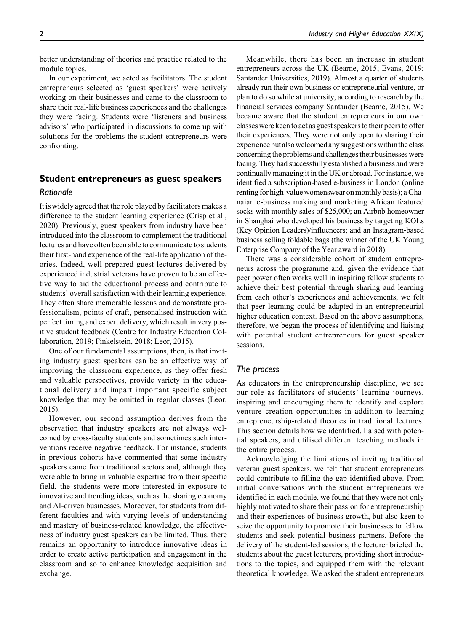better understanding of theories and practice related to the module topics.

In our experiment, we acted as facilitators. The student entrepreneurs selected as 'guest speakers' were actively working on their businesses and came to the classroom to share their real-life business experiences and the challenges they were facing. Students were 'listeners and business advisors' who participated in discussions to come up with solutions for the problems the student entrepreneurs were confronting.

# **Student entrepreneurs as guest speakers** *Rationale*

It is widely agreed that the role played by facilitators makes a difference to the student learning experience (Crisp et al., 2020). Previously, guest speakers from industry have been introduced into the classroom to complement the traditional lectures and have often been able to communicate to students their first-hand experience of the real-life application of theories. Indeed, well-prepared guest lectures delivered by experienced industrial veterans have proven to be an effective way to aid the educational process and contribute to students' overall satisfaction with their learning experience. They often share memorable lessons and demonstrate professionalism, points of craft, personalised instruction with perfect timing and expert delivery, which result in very positive student feedback (Centre for Industry Education Collaboration, 2019; Finkelstein, 2018; Leor, 2015).

One of our fundamental assumptions, then, is that inviting industry guest speakers can be an effective way of improving the classroom experience, as they offer fresh and valuable perspectives, provide variety in the educational delivery and impart important specific subject knowledge that may be omitted in regular classes (Leor, 2015).

However, our second assumption derives from the observation that industry speakers are not always welcomed by cross-faculty students and sometimes such interventions receive negative feedback. For instance, students in previous cohorts have commented that some industry speakers came from traditional sectors and, although they were able to bring in valuable expertise from their specific field, the students were more interested in exposure to innovative and trending ideas, such as the sharing economy and AI-driven businesses. Moreover, for students from different faculties and with varying levels of understanding and mastery of business-related knowledge, the effectiveness of industry guest speakers can be limited. Thus, there remains an opportunity to introduce innovative ideas in order to create active participation and engagement in the classroom and so to enhance knowledge acquisition and exchange.

Meanwhile, there has been an increase in student entrepreneurs across the UK (Bearne, 2015; Evans, 2019; Santander Universities, 2019). Almost a quarter of students already run their own business or entrepreneurial venture, or plan to do so while at university, according to research by the financial services company Santander (Bearne, 2015). We became aware that the student entrepreneurs in our own classes were keen to act as guest speakers to their peers to offer their experiences. They were not only open to sharing their experience but alsowelcomedany suggestions withinthe class concerning the problems and challengestheir businesses were facing. They had successfully established a business and were continually managing it in the UK or abroad. For instance, we identified a subscription-based e-business in London (online renting for high-valuewomenswear onmonthly basis); a Ghanaian e-business making and marketing African featured socks with monthly sales of \$25,000; an Airbnb homeowner in Shanghai who developed his business by targeting KOLs (Key Opinion Leaders)/influencers; and an Instagram-based business selling foldable bags (the winner of the UK Young Enterprise Company of the Year award in 2018).

There was a considerable cohort of student entrepreneurs across the programme and, given the evidence that peer power often works well in inspiring fellow students to achieve their best potential through sharing and learning from each other's experiences and achievements, we felt that peer learning could be adapted in an entrepreneurial higher education context. Based on the above assumptions, therefore, we began the process of identifying and liaising with potential student entrepreneurs for guest speaker sessions.

## *The process*

As educators in the entrepreneurship discipline, we see our role as facilitators of students' learning journeys, inspiring and encouraging them to identify and explore venture creation opportunities in addition to learning entrepreneurship-related theories in traditional lectures. This section details how we identified, liaised with potential speakers, and utilised different teaching methods in the entire process.

Acknowledging the limitations of inviting traditional veteran guest speakers, we felt that student entrepreneurs could contribute to filling the gap identified above. From initial conversations with the student entrepreneurs we identified in each module, we found that they were not only highly motivated to share their passion for entrepreneurship and their experiences of business growth, but also keen to seize the opportunity to promote their businesses to fellow students and seek potential business partners. Before the delivery of the student-led sessions, the lecturer briefed the students about the guest lecturers, providing short introductions to the topics, and equipped them with the relevant theoretical knowledge. We asked the student entrepreneurs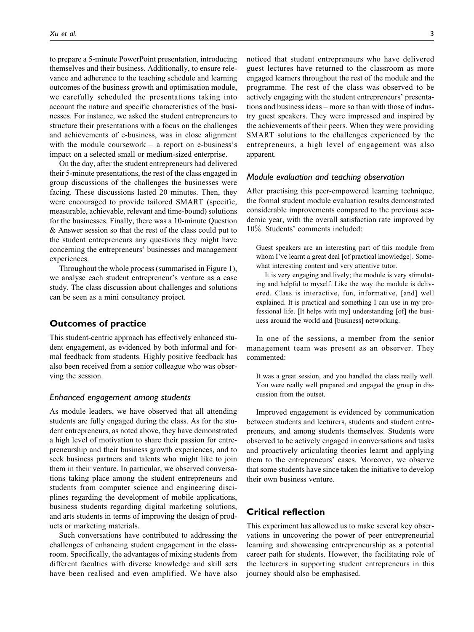to prepare a 5-minute PowerPoint presentation, introducing themselves and their business. Additionally, to ensure relevance and adherence to the teaching schedule and learning outcomes of the business growth and optimisation module, we carefully scheduled the presentations taking into account the nature and specific characteristics of the businesses. For instance, we asked the student entrepreneurs to structure their presentations with a focus on the challenges and achievements of e-business, was in close alignment with the module coursework  $-$  a report on e-business's impact on a selected small or medium-sized enterprise.

On the day, after the student entrepreneurs had delivered their 5-minute presentations, the rest of the class engaged in group discussions of the challenges the businesses were facing. These discussions lasted 20 minutes. Then, they were encouraged to provide tailored SMART (specific, measurable, achievable, relevant and time-bound) solutions for the businesses. Finally, there was a 10-minute Question & Answer session so that the rest of the class could put to the student entrepreneurs any questions they might have concerning the entrepreneurs' businesses and management experiences.

Throughout the whole process (summarised in Figure 1), we analyse each student entrepreneur's venture as a case study. The class discussion about challenges and solutions can be seen as a mini consultancy project.

# **Outcomes of practice**

This student-centric approach has effectively enhanced student engagement, as evidenced by both informal and formal feedback from students. Highly positive feedback has also been received from a senior colleague who was observing the session.

## *Enhanced engagement among students*

As module leaders, we have observed that all attending students are fully engaged during the class. As for the student entrepreneurs, as noted above, they have demonstrated a high level of motivation to share their passion for entrepreneurship and their business growth experiences, and to seek business partners and talents who might like to join them in their venture. In particular, we observed conversations taking place among the student entrepreneurs and students from computer science and engineering disciplines regarding the development of mobile applications, business students regarding digital marketing solutions, and arts students in terms of improving the design of products or marketing materials.

Such conversations have contributed to addressing the challenges of enhancing student engagement in the classroom. Specifically, the advantages of mixing students from different faculties with diverse knowledge and skill sets have been realised and even amplified. We have also

noticed that student entrepreneurs who have delivered guest lectures have returned to the classroom as more engaged learners throughout the rest of the module and the programme. The rest of the class was observed to be actively engaging with the student entrepreneurs' presentations and business ideas – more so than with those of industry guest speakers. They were impressed and inspired by the achievements of their peers. When they were providing SMART solutions to the challenges experienced by the entrepreneurs, a high level of engagement was also apparent.

## *Module evaluation and teaching observation*

After practising this peer-empowered learning technique, the formal student module evaluation results demonstrated considerable improvements compared to the previous academic year, with the overall satisfaction rate improved by 10%. Students' comments included:

Guest speakers are an interesting part of this module from whom I've learnt a great deal [of practical knowledge]. Somewhat interesting content and very attentive tutor.

It is very engaging and lively; the module is very stimulating and helpful to myself. Like the way the module is delivered. Class is interactive, fun, informative, [and] well explained. It is practical and something I can use in my professional life. [It helps with my] understanding [of] the business around the world and [business] networking.

In one of the sessions, a member from the senior management team was present as an observer. They commented:

It was a great session, and you handled the class really well. You were really well prepared and engaged the group in discussion from the outset.

Improved engagement is evidenced by communication between students and lecturers, students and student entrepreneurs, and among students themselves. Students were observed to be actively engaged in conversations and tasks and proactively articulating theories learnt and applying them to the entrepreneurs' cases. Moreover, we observe that some students have since taken the initiative to develop their own business venture.

# **Critical reflection**

This experiment has allowed us to make several key observations in uncovering the power of peer entrepreneurial learning and showcasing entrepreneurship as a potential career path for students. However, the facilitating role of the lecturers in supporting student entrepreneurs in this journey should also be emphasised.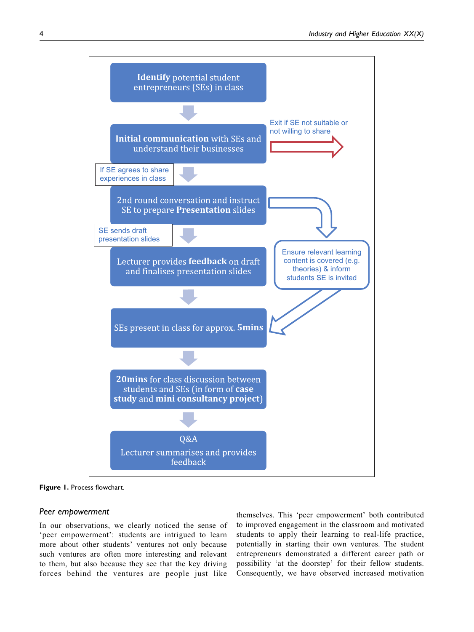

**Figure 1.** Process flowchart.

## *Peer empowerment*

In our observations, we clearly noticed the sense of 'peer empowerment': students are intrigued to learn more about other students' ventures not only because such ventures are often more interesting and relevant to them, but also because they see that the key driving forces behind the ventures are people just like

themselves. This 'peer empowerment' both contributed to improved engagement in the classroom and motivated students to apply their learning to real-life practice, potentially in starting their own ventures. The student entrepreneurs demonstrated a different career path or possibility 'at the doorstep' for their fellow students. Consequently, we have observed increased motivation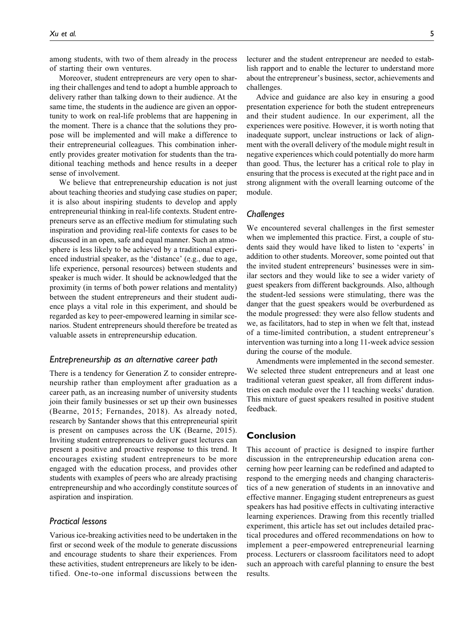among students, with two of them already in the process of starting their own ventures.

Moreover, student entrepreneurs are very open to sharing their challenges and tend to adopt a humble approach to delivery rather than talking down to their audience. At the same time, the students in the audience are given an opportunity to work on real-life problems that are happening in the moment. There is a chance that the solutions they propose will be implemented and will make a difference to their entrepreneurial colleagues. This combination inherently provides greater motivation for students than the traditional teaching methods and hence results in a deeper sense of involvement.

We believe that entrepreneurship education is not just about teaching theories and studying case studies on paper; it is also about inspiring students to develop and apply entrepreneurial thinking in real-life contexts. Student entrepreneurs serve as an effective medium for stimulating such inspiration and providing real-life contexts for cases to be discussed in an open, safe and equal manner. Such an atmosphere is less likely to be achieved by a traditional experienced industrial speaker, as the 'distance' (e.g., due to age, life experience, personal resources) between students and speaker is much wider. It should be acknowledged that the proximity (in terms of both power relations and mentality) between the student entrepreneurs and their student audience plays a vital role in this experiment, and should be regarded as key to peer-empowered learning in similar scenarios. Student entrepreneurs should therefore be treated as valuable assets in entrepreneurship education.

## *Entrepreneurship as an alternative career path*

There is a tendency for Generation Z to consider entrepreneurship rather than employment after graduation as a career path, as an increasing number of university students join their family businesses or set up their own businesses (Bearne, 2015; Fernandes, 2018). As already noted, research by Santander shows that this entrepreneurial spirit is present on campuses across the UK (Bearne, 2015). Inviting student entrepreneurs to deliver guest lectures can present a positive and proactive response to this trend. It encourages existing student entrepreneurs to be more engaged with the education process, and provides other students with examples of peers who are already practising entrepreneurship and who accordingly constitute sources of aspiration and inspiration.

## *Practical lessons*

Various ice-breaking activities need to be undertaken in the first or second week of the module to generate discussions and encourage students to share their experiences. From these activities, student entrepreneurs are likely to be identified. One-to-one informal discussions between the

lecturer and the student entrepreneur are needed to establish rapport and to enable the lecturer to understand more about the entrepreneur's business, sector, achievements and challenges.

Advice and guidance are also key in ensuring a good presentation experience for both the student entrepreneurs and their student audience. In our experiment, all the experiences were positive. However, it is worth noting that inadequate support, unclear instructions or lack of alignment with the overall delivery of the module might result in negative experiences which could potentially do more harm than good. Thus, the lecturer has a critical role to play in ensuring that the process is executed at the right pace and in strong alignment with the overall learning outcome of the module.

## *Challenges*

We encountered several challenges in the first semester when we implemented this practice. First, a couple of students said they would have liked to listen to 'experts' in addition to other students. Moreover, some pointed out that the invited student entrepreneurs' businesses were in similar sectors and they would like to see a wider variety of guest speakers from different backgrounds. Also, although the student-led sessions were stimulating, there was the danger that the guest speakers would be overburdened as the module progressed: they were also fellow students and we, as facilitators, had to step in when we felt that, instead of a time-limited contribution, a student entrepreneur's intervention was turning into a long 11-week advice session during the course of the module.

Amendments were implemented in the second semester. We selected three student entrepreneurs and at least one traditional veteran guest speaker, all from different industries on each module over the 11 teaching weeks' duration. This mixture of guest speakers resulted in positive student feedback.

## **Conclusion**

This account of practice is designed to inspire further discussion in the entrepreneurship education arena concerning how peer learning can be redefined and adapted to respond to the emerging needs and changing characteristics of a new generation of students in an innovative and effective manner. Engaging student entrepreneurs as guest speakers has had positive effects in cultivating interactive learning experiences. Drawing from this recently trialled experiment, this article has set out includes detailed practical procedures and offered recommendations on how to implement a peer-empowered entrepreneurial learning process. Lecturers or classroom facilitators need to adopt such an approach with careful planning to ensure the best results.